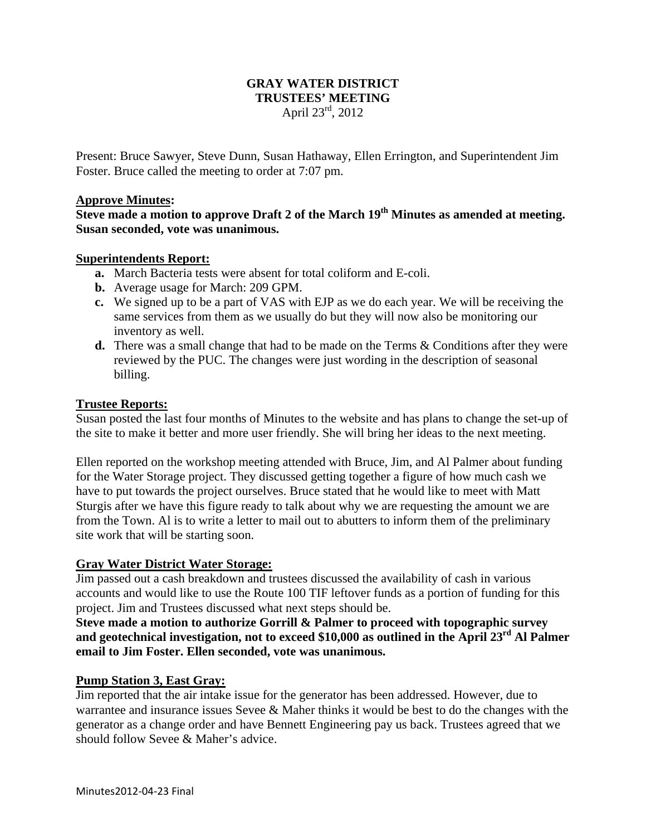# **GRAY WATER DISTRICT TRUSTEES' MEETING**  April 23rd, 2012

Present: Bruce Sawyer, Steve Dunn, Susan Hathaway, Ellen Errington, and Superintendent Jim Foster. Bruce called the meeting to order at 7:07 pm.

# **Approve Minutes:**

**Steve made a motion to approve Draft 2 of the March 19th Minutes as amended at meeting. Susan seconded, vote was unanimous.** 

# **Superintendents Report:**

- **a.** March Bacteria tests were absent for total coliform and E-coli.
- **b.** Average usage for March: 209 GPM.
- **c.** We signed up to be a part of VAS with EJP as we do each year. We will be receiving the same services from them as we usually do but they will now also be monitoring our inventory as well.
- **d.** There was a small change that had to be made on the Terms & Conditions after they were reviewed by the PUC. The changes were just wording in the description of seasonal billing.

# **Trustee Reports:**

Susan posted the last four months of Minutes to the website and has plans to change the set-up of the site to make it better and more user friendly. She will bring her ideas to the next meeting.

Ellen reported on the workshop meeting attended with Bruce, Jim, and Al Palmer about funding for the Water Storage project. They discussed getting together a figure of how much cash we have to put towards the project ourselves. Bruce stated that he would like to meet with Matt Sturgis after we have this figure ready to talk about why we are requesting the amount we are from the Town. Al is to write a letter to mail out to abutters to inform them of the preliminary site work that will be starting soon.

### **Gray Water District Water Storage:**

Jim passed out a cash breakdown and trustees discussed the availability of cash in various accounts and would like to use the Route 100 TIF leftover funds as a portion of funding for this project. Jim and Trustees discussed what next steps should be.

**Steve made a motion to authorize Gorrill & Palmer to proceed with topographic survey**  and geotechnical investigation, not to exceed \$10,000 as outlined in the April 23<sup>rd</sup> Al Palmer **email to Jim Foster. Ellen seconded, vote was unanimous.** 

### **Pump Station 3, East Gray:**

Jim reported that the air intake issue for the generator has been addressed. However, due to warrantee and insurance issues Sevee & Maher thinks it would be best to do the changes with the generator as a change order and have Bennett Engineering pay us back. Trustees agreed that we should follow Sevee & Maher's advice.